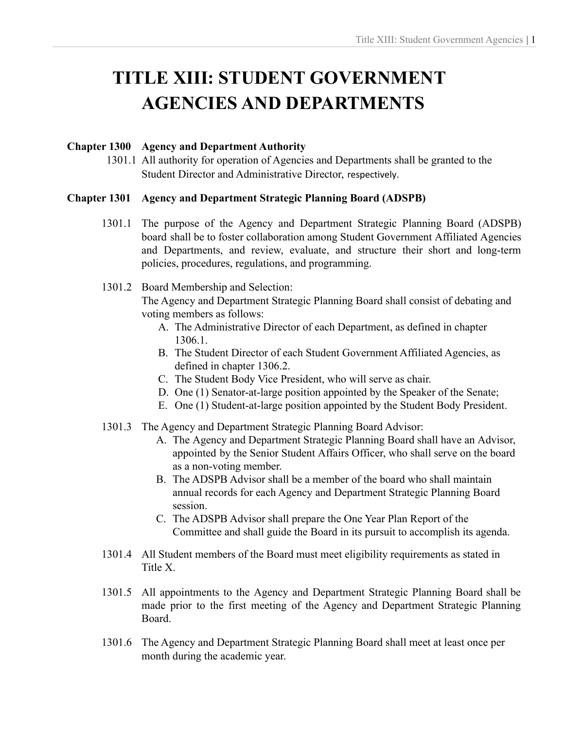# **TITLE XIII: STUDENT GOVERNMENT AGENCIES AND DEPARTMENTS**

#### **Chapter 1300 Agency and Department Authority**

1301.1 All authority for operation of Agencies and Departments shall be granted to the Student Director and Administrative Director, respectively.

### **Chapter 1301 Agency and Department Strategic Planning Board (ADSPB)**

- 1301.1 The purpose of the Agency and Department Strategic Planning Board (ADSPB) board shall be to foster collaboration among Student Government Affiliated Agencies and Departments, and review, evaluate, and structure their short and long-term policies, procedures, regulations, and programming.
- 1301.2 Board Membership and Selection:

The Agency and Department Strategic Planning Board shall consist of debating and voting members as follows:

- A. The Administrative Director of each Department, as defined in chapter 1306.1.
- B. The Student Director of each Student Government Affiliated Agencies, as defined in chapter 1306.2.
- C. The Student Body Vice President, who will serve as chair.
- D. One (1) Senator-at-large position appointed by the Speaker of the Senate;
- E. One (1) Student-at-large position appointed by the Student Body President.
- 1301.3 The Agency and Department Strategic Planning Board Advisor:
	- A. The Agency and Department Strategic Planning Board shall have an Advisor, appointed by the Senior Student Affairs Officer, who shall serve on the board as a non-voting member.
	- B. The ADSPB Advisor shall be a member of the board who shall maintain annual records for each Agency and Department Strategic Planning Board session.
	- C. The ADSPB Advisor shall prepare the One Year Plan Report of the Committee and shall guide the Board in its pursuit to accomplish its agenda.
- 1301.4 All Student members of the Board must meet eligibility requirements as stated in Title X.
- 1301.5 All appointments to the Agency and Department Strategic Planning Board shall be made prior to the first meeting of the Agency and Department Strategic Planning Board.
- 1301.6 The Agency and Department Strategic Planning Board shall meet at least once per month during the academic year.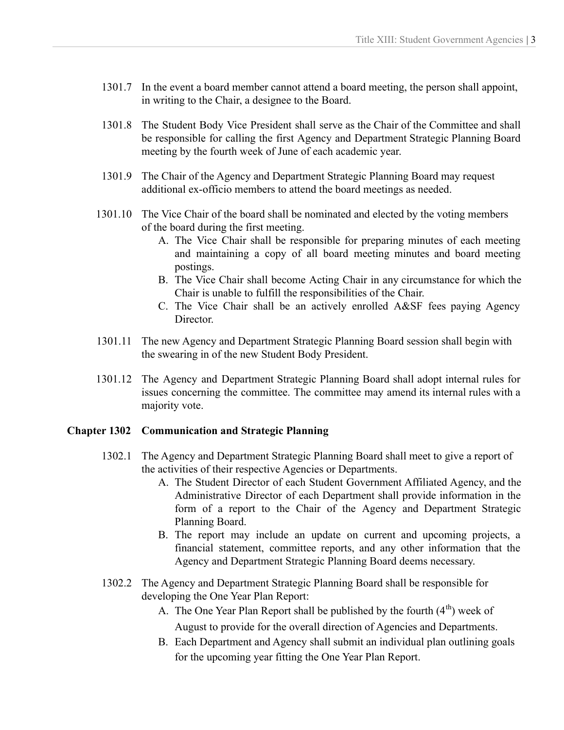- 1301.7 In the event a board member cannot attend a board meeting, the person shall appoint, in writing to the Chair, a designee to the Board.
- 1301.8 The Student Body Vice President shall serve as the Chair of the Committee and shall be responsible for calling the first Agency and Department Strategic Planning Board meeting by the fourth week of June of each academic year.
- 1301.9 The Chair of the Agency and Department Strategic Planning Board may request additional ex-officio members to attend the board meetings as needed.
- 1301.10 The Vice Chair of the board shall be nominated and elected by the voting members of the board during the first meeting.
	- A. The Vice Chair shall be responsible for preparing minutes of each meeting and maintaining a copy of all board meeting minutes and board meeting postings.
	- B. The Vice Chair shall become Acting Chair in any circumstance for which the Chair is unable to fulfill the responsibilities of the Chair.
	- C. The Vice Chair shall be an actively enrolled A&SF fees paying Agency Director.
- 1301.11 The new Agency and Department Strategic Planning Board session shall begin with the swearing in of the new Student Body President.
- 1301.12 The Agency and Department Strategic Planning Board shall adopt internal rules for issues concerning the committee. The committee may amend its internal rules with a majority vote.

#### **Chapter 1302 Communication and Strategic Planning**

- 1302.1 The Agency and Department Strategic Planning Board shall meet to give a report of the activities of their respective Agencies or Departments.
	- A. The Student Director of each Student Government Affiliated Agency, and the Administrative Director of each Department shall provide information in the form of a report to the Chair of the Agency and Department Strategic Planning Board.
	- B. The report may include an update on current and upcoming projects, a financial statement, committee reports, and any other information that the Agency and Department Strategic Planning Board deems necessary.
- 1302.2 The Agency and Department Strategic Planning Board shall be responsible for developing the One Year Plan Report:
	- A. The One Year Plan Report shall be published by the fourth  $(4<sup>th</sup>)$  week of August to provide for the overall direction of Agencies and Departments.
	- B. Each Department and Agency shall submit an individual plan outlining goals for the upcoming year fitting the One Year Plan Report.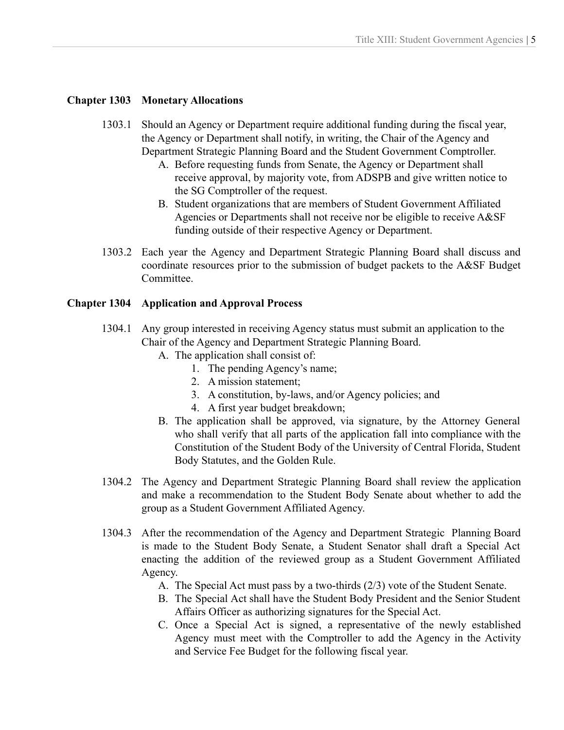### **Chapter 1303 Monetary Allocations**

- 1303.1 Should an Agency or Department require additional funding during the fiscal year, the Agency or Department shall notify, in writing, the Chair of the Agency and Department Strategic Planning Board and the Student Government Comptroller.
	- A. Before requesting funds from Senate, the Agency or Department shall receive approval, by majority vote, from ADSPB and give written notice to the SG Comptroller of the request.
	- B. Student organizations that are members of Student Government Affiliated Agencies or Departments shall not receive nor be eligible to receive A&SF funding outside of their respective Agency or Department.
- 1303.2 Each year the Agency and Department Strategic Planning Board shall discuss and coordinate resources prior to the submission of budget packets to the A&SF Budget Committee.

### **Chapter 1304 Application and Approval Process**

- 1304.1 Any group interested in receiving Agency status must submit an application to the Chair of the Agency and Department Strategic Planning Board.
	- A. The application shall consist of:
		- 1. The pending Agency's name;
		- 2. A mission statement;
		- 3. A constitution, by-laws, and/or Agency policies; and
		- 4. A first year budget breakdown;
	- B. The application shall be approved, via signature, by the Attorney General who shall verify that all parts of the application fall into compliance with the Constitution of the Student Body of the University of Central Florida, Student Body Statutes, and the Golden Rule.
- 1304.2 The Agency and Department Strategic Planning Board shall review the application and make a recommendation to the Student Body Senate about whether to add the group as a Student Government Affiliated Agency.
- 1304.3 After the recommendation of the Agency and Department Strategic Planning Board is made to the Student Body Senate, a Student Senator shall draft a Special Act enacting the addition of the reviewed group as a Student Government Affiliated Agency.
	- A. The Special Act must pass by a two-thirds (2/3) vote of the Student Senate.
	- B. The Special Act shall have the Student Body President and the Senior Student Affairs Officer as authorizing signatures for the Special Act.
	- C. Once a Special Act is signed, a representative of the newly established Agency must meet with the Comptroller to add the Agency in the Activity and Service Fee Budget for the following fiscal year.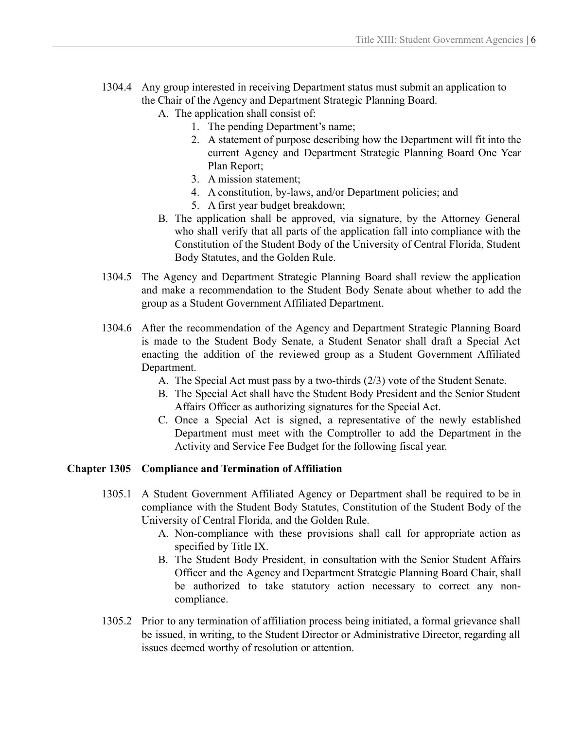- 1304.4 Any group interested in receiving Department status must submit an application to the Chair of the Agency and Department Strategic Planning Board.
	- A. The application shall consist of:
		- 1. The pending Department's name;
		- 2. A statement of purpose describing how the Department will fit into the current Agency and Department Strategic Planning Board One Year Plan Report;
		- 3. A mission statement;
		- 4. A constitution, by-laws, and/or Department policies; and
		- 5. A first year budget breakdown;
	- B. The application shall be approved, via signature, by the Attorney General who shall verify that all parts of the application fall into compliance with the Constitution of the Student Body of the University of Central Florida, Student Body Statutes, and the Golden Rule.
- 1304.5 The Agency and Department Strategic Planning Board shall review the application and make a recommendation to the Student Body Senate about whether to add the group as a Student Government Affiliated Department.
- 1304.6 After the recommendation of the Agency and Department Strategic Planning Board is made to the Student Body Senate, a Student Senator shall draft a Special Act enacting the addition of the reviewed group as a Student Government Affiliated Department.
	- A. The Special Act must pass by a two-thirds (2/3) vote of the Student Senate.
	- B. The Special Act shall have the Student Body President and the Senior Student Affairs Officer as authorizing signatures for the Special Act.
	- C. Once a Special Act is signed, a representative of the newly established Department must meet with the Comptroller to add the Department in the Activity and Service Fee Budget for the following fiscal year.

# **Chapter 1305 Compliance and Termination of Affiliation**

- 1305.1 A Student Government Affiliated Agency or Department shall be required to be in compliance with the Student Body Statutes, Constitution of the Student Body of the University of Central Florida, and the Golden Rule.
	- A. Non-compliance with these provisions shall call for appropriate action as specified by Title IX.
	- B. The Student Body President, in consultation with the Senior Student Affairs Officer and the Agency and Department Strategic Planning Board Chair, shall be authorized to take statutory action necessary to correct any noncompliance.
- 1305.2 Prior to any termination of affiliation process being initiated, a formal grievance shall be issued, in writing, to the Student Director or Administrative Director, regarding all issues deemed worthy of resolution or attention.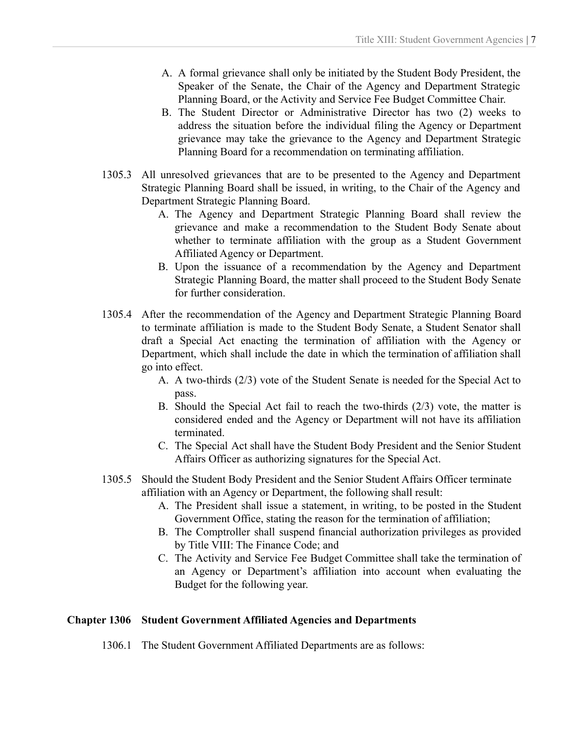- A. A formal grievance shall only be initiated by the Student Body President, the Speaker of the Senate, the Chair of the Agency and Department Strategic Planning Board, or the Activity and Service Fee Budget Committee Chair.
- B. The Student Director or Administrative Director has two (2) weeks to address the situation before the individual filing the Agency or Department grievance may take the grievance to the Agency and Department Strategic Planning Board for a recommendation on terminating affiliation.
- 1305.3 All unresolved grievances that are to be presented to the Agency and Department Strategic Planning Board shall be issued, in writing, to the Chair of the Agency and Department Strategic Planning Board.
	- A. The Agency and Department Strategic Planning Board shall review the grievance and make a recommendation to the Student Body Senate about whether to terminate affiliation with the group as a Student Government Affiliated Agency or Department.
	- B. Upon the issuance of a recommendation by the Agency and Department Strategic Planning Board, the matter shall proceed to the Student Body Senate for further consideration.
- 1305.4 After the recommendation of the Agency and Department Strategic Planning Board to terminate affiliation is made to the Student Body Senate, a Student Senator shall draft a Special Act enacting the termination of affiliation with the Agency or Department, which shall include the date in which the termination of affiliation shall go into effect.
	- A. A two-thirds (2/3) vote of the Student Senate is needed for the Special Act to pass.
	- B. Should the Special Act fail to reach the two-thirds (2/3) vote, the matter is considered ended and the Agency or Department will not have its affiliation terminated.
	- C. The Special Act shall have the Student Body President and the Senior Student Affairs Officer as authorizing signatures for the Special Act.
- 1305.5 Should the Student Body President and the Senior Student Affairs Officer terminate affiliation with an Agency or Department, the following shall result:
	- A. The President shall issue a statement, in writing, to be posted in the Student Government Office, stating the reason for the termination of affiliation;
	- B. The Comptroller shall suspend financial authorization privileges as provided by Title VIII: The Finance Code; and
	- C. The Activity and Service Fee Budget Committee shall take the termination of an Agency or Department's affiliation into account when evaluating the Budget for the following year.

# **Chapter 1306 Student Government Affiliated Agencies and Departments**

1306.1 The Student Government Affiliated Departments are as follows: